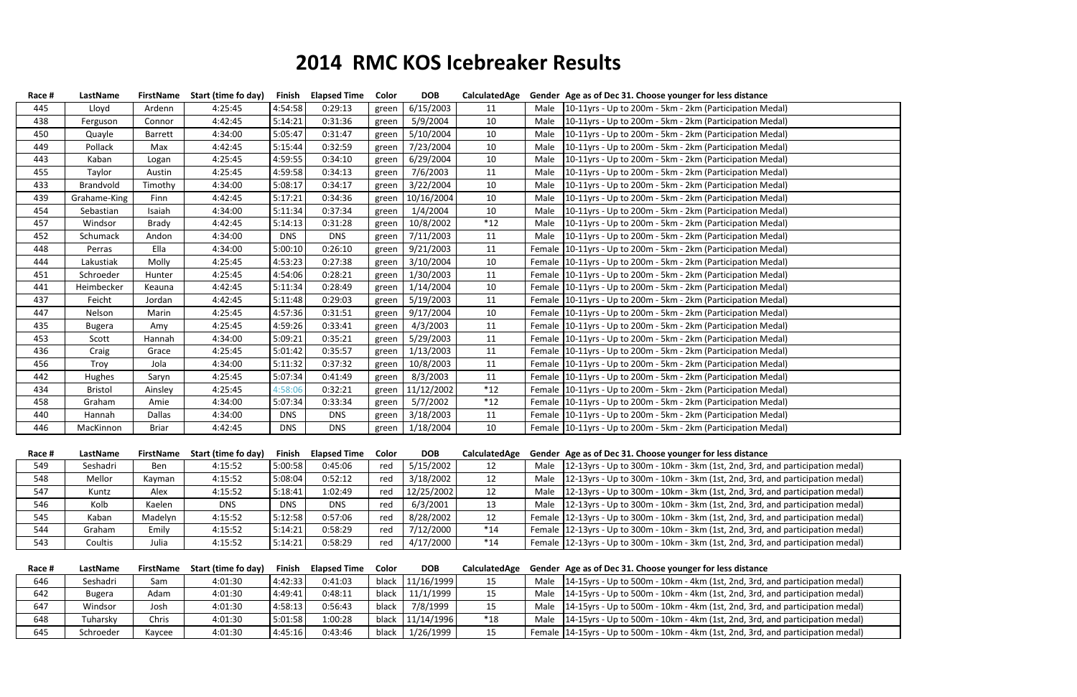| Race # | LastName       |                  | FirstName Start (time fo day) | Finish        | <b>Elapsed Time</b> | Color | <b>DOB</b> | CalculatedAge |      | Gender Age as of Dec 31. Choose younger for less distance                             |
|--------|----------------|------------------|-------------------------------|---------------|---------------------|-------|------------|---------------|------|---------------------------------------------------------------------------------------|
| 445    | Lloyd          | Ardenn           | 4:25:45                       | 4:54:58       | 0:29:13             | green | 6/15/2003  | 11            | Male | 10-11yrs - Up to 200m - 5km - 2km (Participation Medal)                               |
| 438    | Ferguson       | Connor           | 4:42:45                       | 5:14:21       | 0:31:36             | green | 5/9/2004   | 10            | Male | 10-11yrs - Up to 200m - 5km - 2km (Participation Medal)                               |
| 450    | Quayle         | Barrett          | 4:34:00                       | 5:05:47       | 0:31:47             | green | 5/10/2004  | 10            | Male | 10-11yrs - Up to 200m - 5km - 2km (Participation Medal)                               |
| 449    | Pollack        | Max              | 4:42:45                       | 5:15:44       | 0:32:59             | green | 7/23/2004  | 10            | Male | 10-11yrs - Up to 200m - 5km - 2km (Participation Medal)                               |
| 443    | Kaban          | Logan            | 4:25:45                       | 4:59:55       | 0:34:10             | green | 6/29/2004  | 10            | Male | 10-11yrs - Up to 200m - 5km - 2km (Participation Medal)                               |
| 455    | Taylor         | Austin           | 4:25:45                       | 4:59:58       | 0:34:13             | green | 7/6/2003   | 11            | Male | 10-11yrs - Up to 200m - 5km - 2km (Participation Medal)                               |
| 433    | Brandvold      | Timothy          | 4:34:00                       | 5:08:17       | 0:34:17             | green | 3/22/2004  | 10            | Male | 10-11yrs - Up to 200m - 5km - 2km (Participation Medal)                               |
| 439    | Grahame-King   | Finn             | 4:42:45                       | 5:17:21       | 0:34:36             | green | 10/16/2004 | 10            | Male | 10-11yrs - Up to 200m - 5km - 2km (Participation Medal)                               |
| 454    | Sebastian      | Isaiah           | 4:34:00                       | 5:11:34       | 0:37:34             | green | 1/4/2004   | 10            | Male | 10-11yrs - Up to 200m - 5km - 2km (Participation Medal)                               |
| 457    | Windsor        | Brady            | 4:42:45                       | 5:14:13       | 0:31:28             | green | 10/8/2002  | $*12$         | Male | [10-11yrs - Up to 200m - 5km - 2km (Participation Medal)                              |
| 452    | Schumack       | Andon            | 4:34:00                       | <b>DNS</b>    | <b>DNS</b>          | green | 7/11/2003  | 11            | Male | [10-11yrs - Up to 200m - 5km - 2km (Participation Medal)                              |
| 448    | Perras         | Ella             | 4:34:00                       | 5:00:10       | 0:26:10             | green | 9/21/2003  | 11            |      | Female   10-11 yrs - Up to 200 m - 5 km - 2 km (Participation Medal)                  |
| 444    | Lakustiak      | Molly            | 4:25:45                       | 4:53:23       | 0:27:38             | green | 3/10/2004  | 10            |      | Female   10-11 yrs - Up to 200 m - 5 km - 2 km (Participation Medal)                  |
| 451    | Schroeder      | Hunter           | 4:25:45                       | 4:54:06       | 0:28:21             | green | 1/30/2003  | 11            |      | Female   10-11 yrs - Up to 200 m - 5 km - 2 km (Participation Medal)                  |
| 441    | Heimbecker     | Keauna           | 4:42:45                       | 5:11:34       | 0:28:49             | green | 1/14/2004  | 10            |      | Female   10-11 yrs - Up to 200 m - 5 km - 2 km (Participation Medal)                  |
| 437    | Feicht         | Jordan           | 4:42:45                       | 5:11:48       | 0:29:03             | green | 5/19/2003  | 11            |      | Female 10-11yrs - Up to 200m - 5km - 2km (Participation Medal)                        |
| 447    | Nelson         | Marin            | 4:25:45                       | 4:57:36       | 0:31:51             | green | 9/17/2004  | 10            |      | Female 10-11yrs - Up to 200m - 5km - 2km (Participation Medal)                        |
| 435    | Bugera         | Amy              | 4:25:45                       | 4:59:26       | 0:33:41             | green | 4/3/2003   | 11            |      | Female   10-11 yrs - Up to 200 m - 5 km - 2 km (Participation Medal)                  |
| 453    | Scott          | Hannah           | 4:34:00                       | 5:09:21       | 0:35:21             | green | 5/29/2003  | 11            |      | Female   10-11 yrs - Up to 200 m - 5 km - 2 km (Participation Medal)                  |
| 436    | Craig          | Grace            | 4:25:45                       | 5:01:42       | 0:35:57             | green | 1/13/2003  | 11            |      | Female 10-11yrs - Up to 200m - 5km - 2km (Participation Medal)                        |
| 456    | Troy           | Jola             | 4:34:00                       | 5:11:32       | 0:37:32             | green | 10/8/2003  | 11            |      | Female   10-11 yrs - Up to 200 m - 5 km - 2 km (Participation Medal)                  |
| 442    | Hughes         | Saryn            | 4:25:45                       | 5:07:34       | 0:41:49             | green | 8/3/2003   | 11            |      | Female   10-11 yrs - Up to 200 m - 5 km - 2 km (Participation Medal)                  |
| 434    | <b>Bristol</b> | Ainsley          | 4:25:45                       | 4:58:06       | 0:32:21             | green | 11/12/2002 | $*12$         |      | Female   10-11 yrs - Up to 200 m - 5 km - 2 km (Participation Medal)                  |
| 458    | Graham         | Amie             | 4:34:00                       | 5:07:34       | 0:33:34             | green | 5/7/2002   | $*12$         |      | Female   10-11 yrs - Up to 200 m - 5 km - 2 km (Participation Medal)                  |
| 440    | Hannah         | Dallas           | 4:34:00                       | <b>DNS</b>    | <b>DNS</b>          | green | 3/18/2003  | 11            |      | Female   10-11 yrs - Up to 200 m - 5 km - 2 km (Participation Medal)                  |
| 446    | MacKinnon      | <b>Briar</b>     | 4:42:45                       | <b>DNS</b>    | <b>DNS</b>          | green | 1/18/2004  | 10            |      | Female   10-11 yrs - Up to 200 m - 5 km - 2 km (Participation Medal)                  |
|        |                |                  |                               |               |                     |       |            |               |      |                                                                                       |
| Race # | LastName       | <b>FirstName</b> | Start (time fo day)           | Finish        | <b>Elapsed Time</b> | Color | <b>DOB</b> | CalculatedAge |      | Gender Age as of Dec 31. Choose younger for less distance                             |
| 549    | Seshadri       | Ben              | 4:15:52                       | 5:00:58       | 0:45:06             | red   | 5/15/2002  | 12            |      | Male   12-13 yrs - Up to 300m - 10km - 3km (1st, 2nd, 3rd, and participation medal)   |
| 548    | Mellor         | Kayman           | 4:15:52                       | 5:08:04       | 0:52:12             | red   | 3/18/2002  | 12            |      | Male   12-13 yrs - Up to 300m - 10km - 3km (1st, 2nd, 3rd, and participation medal)   |
| 547    | Kuntz          | Alex             | 4:15:52                       | 5:18:41       | 1:02:49             | red   | 12/25/2002 | 12            |      | Male 12-13yrs - Up to 300m - 10km - 3km (1st, 2nd, 3rd, and participation medal)      |
| 546    | Kolb           | Kaelen           | <b>DNS</b>                    | <b>DNS</b>    | <b>DNS</b>          | red   | 6/3/2001   | 13            | Male | [12-13yrs - Up to 300m - 10km - 3km (1st, 2nd, 3rd, and participation medal)          |
| 545    | Kaban          | Madelyn          | 4:15:52                       | 5:12:58       | 0:57:06             | red   | 8/28/2002  | 12            |      | Female 12-13yrs - Up to 300m - 10km - 3km (1st, 2nd, 3rd, and participation medal)    |
| 544    | Graham         | Emily            | 4:15:52                       | 5:14:21       | 0:58:29             | red   | 7/12/2000  | $*14$         |      | Female 12-13yrs - Up to 300m - 10km - 3km (1st, 2nd, 3rd, and participation medal)    |
| 543    | Coultis        | Julia            | 4:15:52                       | 5:14:21       | 0:58:29             | red   | 4/17/2000  | $*14$         |      | Female 12-13yrs - Up to 300m - 10km - 3km (1st, 2nd, 3rd, and participation medal)    |
|        |                |                  |                               |               |                     |       |            |               |      |                                                                                       |
| Race # | LastName       | <b>FirstName</b> | Start (time fo day)           | <b>Finish</b> | <b>Elapsed Time</b> | Color | <b>DOB</b> | CalculatedAge |      | Gender Age as of Dec 31. Choose younger for less distance                             |
| 646    | Seshadri       | Sam              | 4:01:30                       | 4:42:33       | 0:41:03             | black | 11/16/1999 | 15            | Male | [14-15yrs - Up to 500m - 10km - 4km (1st, 2nd, 3rd, and participation medal)          |
| 642    | <b>Bugera</b>  | Adam             | 4:01:30                       | 4:49:41       | 0:48:11             | black | 11/1/1999  | 15            | Male | [14-15yrs - Up to 500m - 10km - 4km (1st, 2nd, 3rd, and participation medal)          |
| 647    | Windsor        | Josh             | 4:01:30                       | 4:58:13       | 0:56:43             | black | 7/8/1999   | 15            | Male | [14-15yrs - Up to 500m - 10km - 4km (1st, 2nd, 3rd, and participation medal)          |
| 648    | Tuharsky       | Chris            | 4:01:30                       | 5:01:58       | 1:00:28             | black | 11/14/1996 | $*18$         | Male | [14-15yrs - Up to 500m - 10km - 4km (1st, 2nd, 3rd, and participation medal)          |
| 645    | Schroeder      | Kaycee           | 4:01:30                       | 4:45:16       | 0:43:46             | black | 1/26/1999  | 15            |      | Female   14-15 yrs - Up to 500m - 10km - 4km (1st, 2nd, 3rd, and participation medal) |
|        |                |                  |                               |               |                     |       |            |               |      |                                                                                       |

## **2014 RMC KOS Icebreaker Results**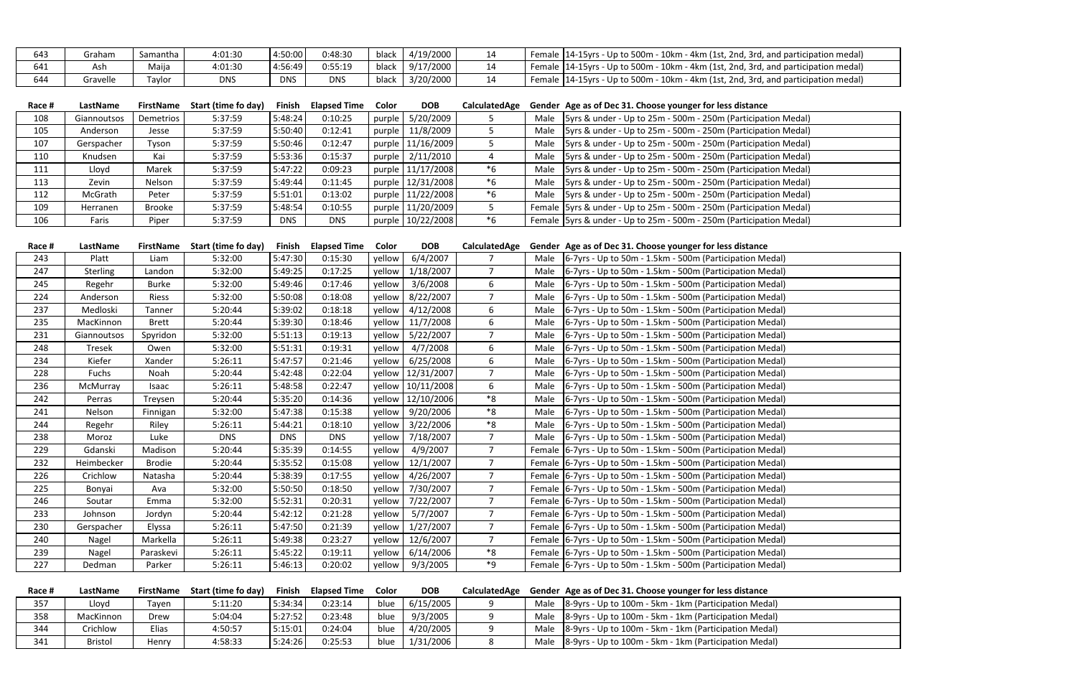| 643 | Graham   | Samantha | 4:01:30    | 4:50:00    | 0:48:30 | black | 4/19/2000 | ᅩ  | Female | $\cdot$ 10km $\cdot$<br>: 14-15yrs - Up to 500m -<br>، - 4km (1st, 2nd,<br>l, 3rd, and participation medal) |
|-----|----------|----------|------------|------------|---------|-------|-----------|----|--------|-------------------------------------------------------------------------------------------------------------|
| 641 | Ash      | Maija    | 4:01:30    | 4:56:49    | 0:55:19 | black | 9/17/2000 | ᅩᆠ |        | - 10km - 4km (1st, 2nd, 3rd, and participation medal)<br>Female   14-15 yrs - Up to 500 m -                 |
| 644 | Gravelle | avlor ،  | <b>DNS</b> | <b>DNS</b> | DNS     | blacl | 3/20/2000 |    | Female | $-10$ km<br>: 14-15yrs - Up to 500m -<br>- 4km (1st, 2nd,<br>l, 3rd, and participation medal)               |

| Race # | LastName    | <b>FirstName</b> | Start (time fo day) | Finish     | <b>Elapsed Time</b> | Color  | <b>DOB</b>          | CalculatedAge | Gender Age as of Dec 31. Choose younger for less distance             |
|--------|-------------|------------------|---------------------|------------|---------------------|--------|---------------------|---------------|-----------------------------------------------------------------------|
| 108    | Giannoutsos | <b>Demetrios</b> | 5:37:59             | 5:48:24    | 0:10:25             | purple | 5/20/2009           |               | Male $ 5$ yrs & under - Up to 25m - 500m - 250m (Participation Medal) |
| 105    | Anderson    | Jesse            | 5:37:59             | 5:50:40    | 0:12:41             | purple | 11/8/2009           |               | Male $ 5$ yrs & under - Up to 25m - 500m - 250m (Participation Medal) |
| 107    | Gerspacher  | Tyson            | 5:37:59             | 5:50:46    | 0:12:47             |        | purple 11/16/2009   |               | Male $ 5$ yrs & under - Up to 25m - 500m - 250m (Participation Medal) |
| 110    | Knudsen     | Kai              | 5:37:59             | 5:53:36    | 0:15:37             |        | purple 2/11/2010    |               | Male $ 5$ yrs & under - Up to 25m - 500m - 250m (Participation Medal) |
| 111    | Lloyd       | Marek            | 5:37:59             | 5:47:22    | 0:09:23             |        | purple 11/17/2008   | *6            | Male $ 5$ yrs & under - Up to 25m - 500m - 250m (Participation Medal) |
| 113    | Zevin       | Nelson           | 5:37:59             | 5:49:44    | 0:11:45             |        | purple 12/31/2008   | $*6$          | Male $ 5$ yrs & under - Up to 25m - 500m - 250m (Participation Medal) |
| 112    | McGrath     | Peter            | 5:37:59             | 5:51:01    | 0:13:02             |        | purple 11/22/2008   | $*6$          | Male   5yrs & under - Up to 25m - 500m - 250m (Participation Medal)   |
| 109    | Herranen    | <b>Brooke</b>    | 5:37:59             | 5:48:54    | 0:10:55             |        | purple 11/20/2009   |               | Female 5yrs & under - Up to 25m - 500m - 250m (Participation Medal)   |
| 106    | Faris       | Piper            | 5:37:59             | <b>DNS</b> | <b>DNS</b>          |        | purple   10/22/2008 | *6            | Female 5yrs & under - Up to 25m - 500m - 250m (Participation Medal)   |

| 6/4/2007<br>0:15:30<br>yellow<br>243<br>5:32:00<br>5:47:30<br>Male  6-7yrs - Up to 50m - 1.5km - 500m (Participation Medal)<br>Platt<br>Liam<br>0:17:25<br>$\overline{7}$<br>5:32:00<br>5:49:25<br>yellow<br>1/18/2007<br>6-7yrs - Up to 50m - 1.5km - 500m (Participation Medal)<br>247<br><b>Sterling</b><br>Landon<br>Male<br>3/6/2008<br>5:32:00<br>5:49:46<br>0:17:46<br>yellow<br>6<br>Regehr<br>Burke<br>Male  6-7yrs - Up to 50m - 1.5km - 500m (Participation Medal)<br>245<br>8/22/2007<br>5:50:08<br>0:18:08<br>$\overline{7}$<br>224<br>Anderson<br>Riess<br>5:32:00<br>yellow<br>6-7yrs - Up to 50m - 1.5km - 500m (Participation Medal)<br>Male<br>yellow 4/12/2008<br>6<br>5:39:02<br>0:18:18<br>237<br>Medloski<br>5:20:44<br>Male<br>6-7yrs - Up to 50m - 1.5km - 500m (Participation Medal)<br>Tanner<br>6<br>0:18:46<br>11/7/2008<br>5:39:30<br>6-7yrs - Up to 50m - 1.5km - 500m (Participation Medal)<br>235<br>MacKinnon<br><b>Brett</b><br>5:20:44<br>yellow  <br>Male<br>$\overline{7}$<br>0:19:13<br>yellow 5/22/2007<br>231<br>5:32:00<br>5:51:13<br>6-7yrs - Up to 50m - 1.5km - 500m (Participation Medal)<br>Giannoutsos<br>Spyridon<br>Male<br>4/7/2008<br>0:19:31<br>yellow<br>6<br>5:32:00<br>5:51:31<br>6-7yrs - Up to 50m - 1.5km - 500m (Participation Medal)<br>248<br>Tresek<br>Male<br>Owen<br>6<br>Kiefer<br>5:47:57<br>0:21:46<br>6/25/2008<br>6-7yrs - Up to 50m - 1.5km - 500m (Participation Medal)<br>234<br>Xander<br>5:26:11<br>yellow  <br>Male<br>yellow 12/31/2007<br>5:42:48<br>0:22:04<br>7<br>228<br>Fuchs<br>Noah<br>5:20:44<br>Male  6-7yrs - Up to 50m - 1.5km - 500m (Participation Medal) |  |
|----------------------------------------------------------------------------------------------------------------------------------------------------------------------------------------------------------------------------------------------------------------------------------------------------------------------------------------------------------------------------------------------------------------------------------------------------------------------------------------------------------------------------------------------------------------------------------------------------------------------------------------------------------------------------------------------------------------------------------------------------------------------------------------------------------------------------------------------------------------------------------------------------------------------------------------------------------------------------------------------------------------------------------------------------------------------------------------------------------------------------------------------------------------------------------------------------------------------------------------------------------------------------------------------------------------------------------------------------------------------------------------------------------------------------------------------------------------------------------------------------------------------------------------------------------------------------------------------------------------------------------------------------|--|
|                                                                                                                                                                                                                                                                                                                                                                                                                                                                                                                                                                                                                                                                                                                                                                                                                                                                                                                                                                                                                                                                                                                                                                                                                                                                                                                                                                                                                                                                                                                                                                                                                                                    |  |
|                                                                                                                                                                                                                                                                                                                                                                                                                                                                                                                                                                                                                                                                                                                                                                                                                                                                                                                                                                                                                                                                                                                                                                                                                                                                                                                                                                                                                                                                                                                                                                                                                                                    |  |
|                                                                                                                                                                                                                                                                                                                                                                                                                                                                                                                                                                                                                                                                                                                                                                                                                                                                                                                                                                                                                                                                                                                                                                                                                                                                                                                                                                                                                                                                                                                                                                                                                                                    |  |
|                                                                                                                                                                                                                                                                                                                                                                                                                                                                                                                                                                                                                                                                                                                                                                                                                                                                                                                                                                                                                                                                                                                                                                                                                                                                                                                                                                                                                                                                                                                                                                                                                                                    |  |
|                                                                                                                                                                                                                                                                                                                                                                                                                                                                                                                                                                                                                                                                                                                                                                                                                                                                                                                                                                                                                                                                                                                                                                                                                                                                                                                                                                                                                                                                                                                                                                                                                                                    |  |
|                                                                                                                                                                                                                                                                                                                                                                                                                                                                                                                                                                                                                                                                                                                                                                                                                                                                                                                                                                                                                                                                                                                                                                                                                                                                                                                                                                                                                                                                                                                                                                                                                                                    |  |
|                                                                                                                                                                                                                                                                                                                                                                                                                                                                                                                                                                                                                                                                                                                                                                                                                                                                                                                                                                                                                                                                                                                                                                                                                                                                                                                                                                                                                                                                                                                                                                                                                                                    |  |
|                                                                                                                                                                                                                                                                                                                                                                                                                                                                                                                                                                                                                                                                                                                                                                                                                                                                                                                                                                                                                                                                                                                                                                                                                                                                                                                                                                                                                                                                                                                                                                                                                                                    |  |
|                                                                                                                                                                                                                                                                                                                                                                                                                                                                                                                                                                                                                                                                                                                                                                                                                                                                                                                                                                                                                                                                                                                                                                                                                                                                                                                                                                                                                                                                                                                                                                                                                                                    |  |
|                                                                                                                                                                                                                                                                                                                                                                                                                                                                                                                                                                                                                                                                                                                                                                                                                                                                                                                                                                                                                                                                                                                                                                                                                                                                                                                                                                                                                                                                                                                                                                                                                                                    |  |
| 6<br>5:48:58<br>0:22:47<br>yellow 10/11/2008<br>6-7yrs - Up to 50m - 1.5km - 500m (Participation Medal)<br>236<br>5:26:11<br>Male<br>McMurray<br>Isaac                                                                                                                                                                                                                                                                                                                                                                                                                                                                                                                                                                                                                                                                                                                                                                                                                                                                                                                                                                                                                                                                                                                                                                                                                                                                                                                                                                                                                                                                                             |  |
| *8<br>5:35:20<br>0:14:36<br>yellow   12/10/2006  <br>242<br>Treysen<br>5:20:44<br>Male<br>6-7yrs - Up to 50m - 1.5km - 500m (Participation Medal)<br>Perras                                                                                                                                                                                                                                                                                                                                                                                                                                                                                                                                                                                                                                                                                                                                                                                                                                                                                                                                                                                                                                                                                                                                                                                                                                                                                                                                                                                                                                                                                        |  |
| *8<br>yellow 9/20/2006<br>5:47:38<br>0:15:38<br>6-7yrs - Up to 50m - 1.5km - 500m (Participation Medal)<br>241<br>Nelson<br>5:32:00<br>Male<br>Finnigan                                                                                                                                                                                                                                                                                                                                                                                                                                                                                                                                                                                                                                                                                                                                                                                                                                                                                                                                                                                                                                                                                                                                                                                                                                                                                                                                                                                                                                                                                            |  |
| *8<br>yellow 3/22/2006<br>0:18:10<br>5:26:11<br>5:44:21<br>6-7yrs - Up to 50m - 1.5km - 500m (Participation Medal)<br>244<br>Riley<br>Male<br>Regehr                                                                                                                                                                                                                                                                                                                                                                                                                                                                                                                                                                                                                                                                                                                                                                                                                                                                                                                                                                                                                                                                                                                                                                                                                                                                                                                                                                                                                                                                                               |  |
| 7/18/2007<br>$\overline{7}$<br><b>DNS</b><br><b>DNS</b><br><b>DNS</b><br>yellow<br>Male  6-7yrs - Up to 50m - 1.5km - 500m (Participation Medal)<br>238<br>Moroz<br>Luke                                                                                                                                                                                                                                                                                                                                                                                                                                                                                                                                                                                                                                                                                                                                                                                                                                                                                                                                                                                                                                                                                                                                                                                                                                                                                                                                                                                                                                                                           |  |
| 4/9/2007<br>$\overline{7}$<br>5:35:39<br>0:14:55<br>Female   6-7 yrs - Up to 50 m - 1.5 km - 500 m (Participation Medal)<br>229<br>Gdanski<br>5:20:44<br>yellow<br>Madison                                                                                                                                                                                                                                                                                                                                                                                                                                                                                                                                                                                                                                                                                                                                                                                                                                                                                                                                                                                                                                                                                                                                                                                                                                                                                                                                                                                                                                                                         |  |
| 12/1/2007<br>5:35:52<br>0:15:08<br>$\overline{7}$<br>232<br>Heimbecker<br>5:20:44<br>yellow<br>Female 6-7yrs - Up to 50m - 1.5km - 500m (Participation Medal)<br>Brodie                                                                                                                                                                                                                                                                                                                                                                                                                                                                                                                                                                                                                                                                                                                                                                                                                                                                                                                                                                                                                                                                                                                                                                                                                                                                                                                                                                                                                                                                            |  |
| 4/26/2007<br>5:38:39<br>0:17:55<br>$\overline{7}$<br>Female 6-7yrs - Up to 50m - 1.5km - 500m (Participation Medal)<br>226<br>Crichlow<br>5:20:44<br>yellow<br>Natasha                                                                                                                                                                                                                                                                                                                                                                                                                                                                                                                                                                                                                                                                                                                                                                                                                                                                                                                                                                                                                                                                                                                                                                                                                                                                                                                                                                                                                                                                             |  |
| 7/30/2007<br>$\overline{7}$<br>5:50:50<br>0:18:50<br>225<br>5:32:00<br>yellow  <br>Female 6-7yrs - Up to 50m - 1.5km - 500m (Participation Medal)<br>Bonyai<br>Ava                                                                                                                                                                                                                                                                                                                                                                                                                                                                                                                                                                                                                                                                                                                                                                                                                                                                                                                                                                                                                                                                                                                                                                                                                                                                                                                                                                                                                                                                                 |  |
| $\overline{7}$<br>5:52:31<br>0:20:31<br>7/22/2007<br>Female 6-7yrs - Up to 50m - 1.5km - 500m (Participation Medal)<br>246<br>5:32:00<br>yellow<br>Soutar<br>Emma                                                                                                                                                                                                                                                                                                                                                                                                                                                                                                                                                                                                                                                                                                                                                                                                                                                                                                                                                                                                                                                                                                                                                                                                                                                                                                                                                                                                                                                                                  |  |
| $\overline{7}$<br>5/7/2007<br>5:42:12<br>0:21:28<br>yellow<br>233<br>5:20:44<br>Female 6-7yrs - Up to 50m - 1.5km - 500m (Participation Medal)<br>Johnson<br>Jordyn                                                                                                                                                                                                                                                                                                                                                                                                                                                                                                                                                                                                                                                                                                                                                                                                                                                                                                                                                                                                                                                                                                                                                                                                                                                                                                                                                                                                                                                                                |  |
| $\overline{7}$<br>yellow<br>1/27/2007<br>230<br>Gerspacher<br>5:26:11<br>5:47:50<br>0:21:39<br>Female 6-7yrs - Up to 50m - 1.5km - 500m (Participation Medal)<br>Elyssa                                                                                                                                                                                                                                                                                                                                                                                                                                                                                                                                                                                                                                                                                                                                                                                                                                                                                                                                                                                                                                                                                                                                                                                                                                                                                                                                                                                                                                                                            |  |
| $\overline{7}$<br>0:23:27<br>12/6/2007<br>240<br>Markella<br>5:26:11<br>5:49:38<br>yellow<br>Female 6-7yrs - Up to 50m - 1.5km - 500m (Participation Medal)<br>Nagel                                                                                                                                                                                                                                                                                                                                                                                                                                                                                                                                                                                                                                                                                                                                                                                                                                                                                                                                                                                                                                                                                                                                                                                                                                                                                                                                                                                                                                                                               |  |
| $^*8$<br>0:19:11<br>6/14/2006<br>239<br>Paraskevi<br>5:26:11<br>5:45:22<br>yellow<br>Female 6-7yrs - Up to 50m - 1.5km - 500m (Participation Medal)<br>Nagel                                                                                                                                                                                                                                                                                                                                                                                                                                                                                                                                                                                                                                                                                                                                                                                                                                                                                                                                                                                                                                                                                                                                                                                                                                                                                                                                                                                                                                                                                       |  |
| ٠9<br>9/3/2005<br>227<br>0:20:02<br>Female 6-7yrs - Up to 50m - 1.5km - 500m (Participation Medal)<br>5:26:11<br>5:46:13<br>yellow<br>Dedman<br>Parker                                                                                                                                                                                                                                                                                                                                                                                                                                                                                                                                                                                                                                                                                                                                                                                                                                                                                                                                                                                                                                                                                                                                                                                                                                                                                                                                                                                                                                                                                             |  |

| Race # | LastName  | <b>FirstName</b> | <b>Start (time fo day)</b> | Finish  | <b>Elapsed Time</b> | Color | <b>DOB</b> | CalculatedAge | Gender Age as of Dec 31. Choose younger for less distance   |
|--------|-----------|------------------|----------------------------|---------|---------------------|-------|------------|---------------|-------------------------------------------------------------|
| 357    | Lloyd     | Tayen            | 5:11:20                    | 5:34:34 | 0:23:14             | blue  | 6/15/2005  |               | Male  8-9yrs - Up to 100m - 5km - 1km (Participation Medal) |
| 358    | MacKinnon | Drew             | 5:04:04                    | 5:27:52 | 0:23:48             | blue  | 9/3/2005   |               | Male 8-9yrs - Up to 100m - 5km - 1km (Participation Medal)  |
| 344    | Crichlow  | Elias            | 4:50:57                    | 5:15:01 | 0:24:04             | blue  | 4/20/2005  |               | Male 8-9yrs - Up to 100m - 5km - 1km (Participation Medal)  |
| 341    | Bristol   | Henry            | 4:58:33                    | 5:24:26 | 0:25:53             | blue  | 1/31/2006  |               | Male 8-9yrs - Up to 100m - 5km - 1km (Participation Medal)  |